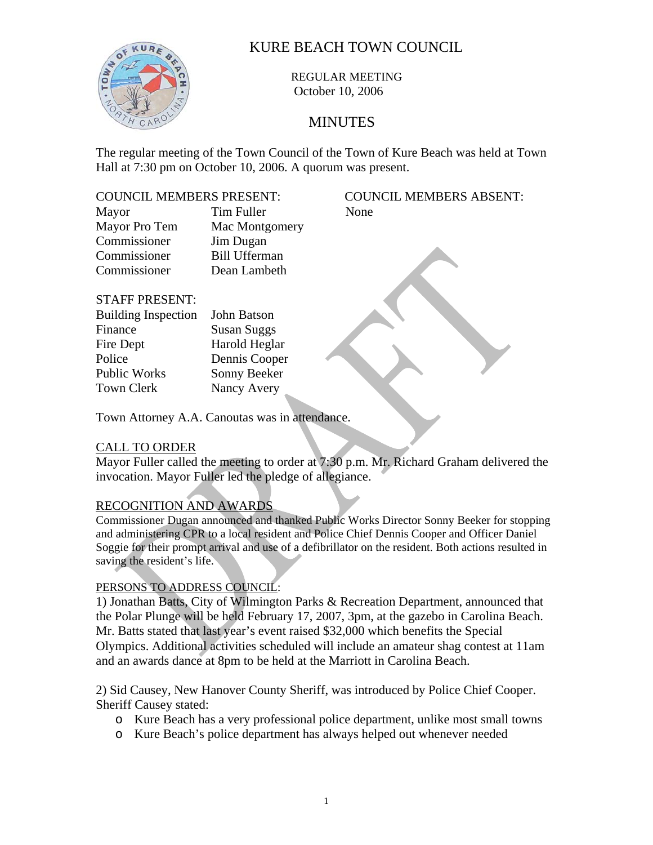

 REGULAR MEETING October 10, 2006

## MINUTES

The regular meeting of the Town Council of the Town of Kure Beach was held at Town Hall at 7:30 pm on October 10, 2006. A quorum was present.

#### COUNCIL MEMBERS PRESENT: COUNCIL MEMBERS ABSENT:

| Mayor                 | Tim Fuller           | None |
|-----------------------|----------------------|------|
| Mayor Pro Tem         | Mac Montgomery       |      |
| Commissioner          | Jim Dugan            |      |
| Commissioner          | <b>Bill Ufferman</b> |      |
| Commissioner          | Dean Lambeth         |      |
|                       |                      |      |
| <b>STAFF PRESENT:</b> |                      |      |

| STAFF FINESENT.            |                    |
|----------------------------|--------------------|
| <b>Building Inspection</b> | John Batson        |
| Finance                    | <b>Susan Suggs</b> |
| Fire Dept                  | Harold Heglar      |
| Police                     | Dennis Cooper      |
| <b>Public Works</b>        | Sonny Beeker       |
| <b>Town Clerk</b>          | Nancy Avery        |
|                            |                    |

Town Attorney A.A. Canoutas was in attendance.

#### CALL TO ORDER

Mayor Fuller called the meeting to order at 7:30 p.m. Mr. Richard Graham delivered the invocation. Mayor Fuller led the pledge of allegiance.

## RECOGNITION AND AWARDS

Commissioner Dugan announced and thanked Public Works Director Sonny Beeker for stopping and administering CPR to a local resident and Police Chief Dennis Cooper and Officer Daniel Soggie for their prompt arrival and use of a defibrillator on the resident. Both actions resulted in saving the resident's life.

#### PERSONS TO ADDRESS COUNCIL:

1) Jonathan Batts, City of Wilmington Parks & Recreation Department, announced that the Polar Plunge will be held February 17, 2007, 3pm, at the gazebo in Carolina Beach. Mr. Batts stated that last year's event raised \$32,000 which benefits the Special Olympics. Additional activities scheduled will include an amateur shag contest at 11am and an awards dance at 8pm to be held at the Marriott in Carolina Beach.

2) Sid Causey, New Hanover County Sheriff, was introduced by Police Chief Cooper. Sheriff Causey stated:

- o Kure Beach has a very professional police department, unlike most small towns
- o Kure Beach's police department has always helped out whenever needed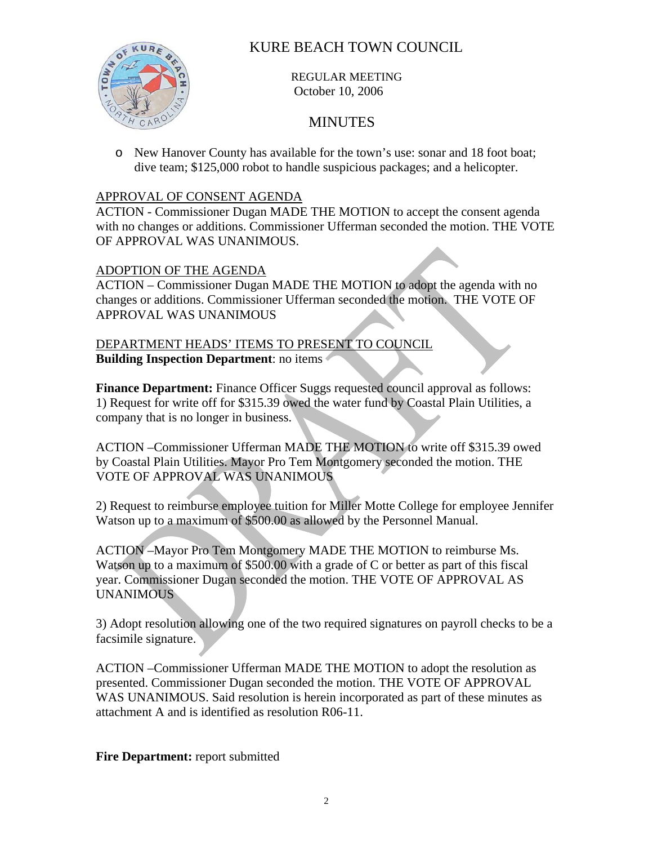

 REGULAR MEETING October 10, 2006

# MINUTES

o New Hanover County has available for the town's use: sonar and 18 foot boat; dive team; \$125,000 robot to handle suspicious packages; and a helicopter.

#### APPROVAL OF CONSENT AGENDA

ACTION - Commissioner Dugan MADE THE MOTION to accept the consent agenda with no changes or additions. Commissioner Ufferman seconded the motion. THE VOTE OF APPROVAL WAS UNANIMOUS.

#### ADOPTION OF THE AGENDA

ACTION – Commissioner Dugan MADE THE MOTION to adopt the agenda with no changes or additions. Commissioner Ufferman seconded the motion. THE VOTE OF APPROVAL WAS UNANIMOUS

#### DEPARTMENT HEADS' ITEMS TO PRESENT TO COUNCIL **Building Inspection Department:** no items

**Finance Department:** Finance Officer Suggs requested council approval as follows: 1) Request for write off for \$315.39 owed the water fund by Coastal Plain Utilities, a company that is no longer in business.

ACTION –Commissioner Ufferman MADE THE MOTION to write off \$315.39 owed by Coastal Plain Utilities. Mayor Pro Tem Montgomery seconded the motion. THE VOTE OF APPROVAL WAS UNANIMOUS

2) Request to reimburse employee tuition for Miller Motte College for employee Jennifer Watson up to a maximum of \$500.00 as allowed by the Personnel Manual.

ACTION –Mayor Pro Tem Montgomery MADE THE MOTION to reimburse Ms. Watson up to a maximum of \$500.00 with a grade of C or better as part of this fiscal year. Commissioner Dugan seconded the motion. THE VOTE OF APPROVAL AS **UNANIMOUS** 

3) Adopt resolution allowing one of the two required signatures on payroll checks to be a facsimile signature.

ACTION –Commissioner Ufferman MADE THE MOTION to adopt the resolution as presented. Commissioner Dugan seconded the motion. THE VOTE OF APPROVAL WAS UNANIMOUS. Said resolution is herein incorporated as part of these minutes as attachment A and is identified as resolution R06-11.

#### **Fire Department:** report submitted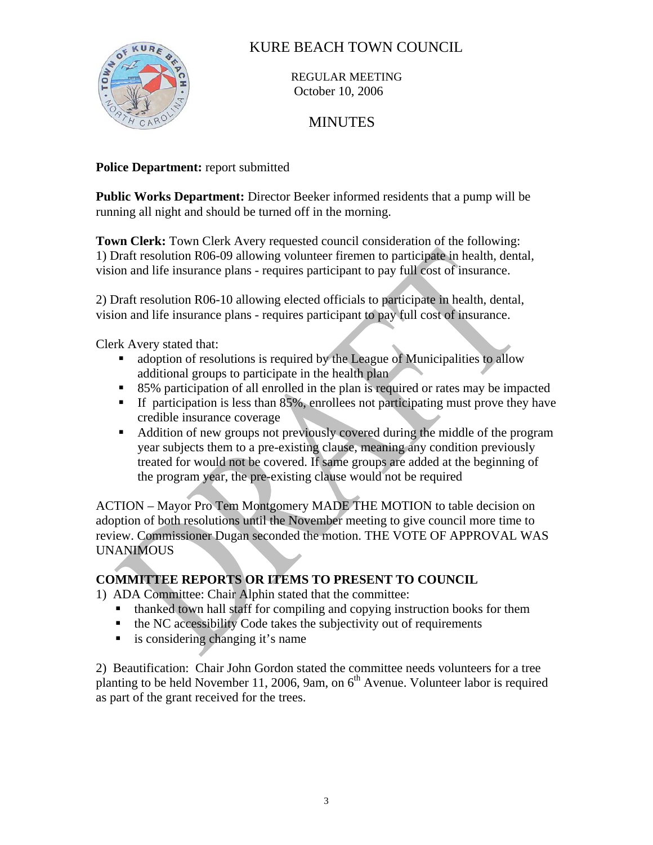

 REGULAR MEETING October 10, 2006

# MINUTES

### **Police Department:** report submitted

**Public Works Department:** Director Beeker informed residents that a pump will be running all night and should be turned off in the morning.

**Town Clerk:** Town Clerk Avery requested council consideration of the following: 1) Draft resolution R06-09 allowing volunteer firemen to participate in health, dental, vision and life insurance plans - requires participant to pay full cost of insurance.

2) Draft resolution R06-10 allowing elected officials to participate in health, dental, vision and life insurance plans - requires participant to pay full cost of insurance.

Clerk Avery stated that:

- adoption of resolutions is required by the League of Municipalities to allow additional groups to participate in the health plan
- 85% participation of all enrolled in the plan is required or rates may be impacted
- If participation is less than  $85\%$ , enrollees not participating must prove they have credible insurance coverage
- Addition of new groups not previously covered during the middle of the program year subjects them to a pre-existing clause, meaning any condition previously treated for would not be covered. If same groups are added at the beginning of the program year, the pre-existing clause would not be required

ACTION – Mayor Pro Tem Montgomery MADE THE MOTION to table decision on adoption of both resolutions until the November meeting to give council more time to review. Commissioner Dugan seconded the motion. THE VOTE OF APPROVAL WAS UNANIMOUS

## **COMMITTEE REPORTS OR ITEMS TO PRESENT TO COUNCIL**

- 1) ADA Committee: Chair Alphin stated that the committee:
	- **thanked town hall staff for compiling and copying instruction books for them**
	- $\blacksquare$  the NC accessibility Code takes the subjectivity out of requirements
	- $\blacksquare$  is considering changing it's name

2) Beautification: Chair John Gordon stated the committee needs volunteers for a tree planting to be held November 11, 2006, 9am, on  $6<sup>th</sup>$  Avenue. Volunteer labor is required as part of the grant received for the trees.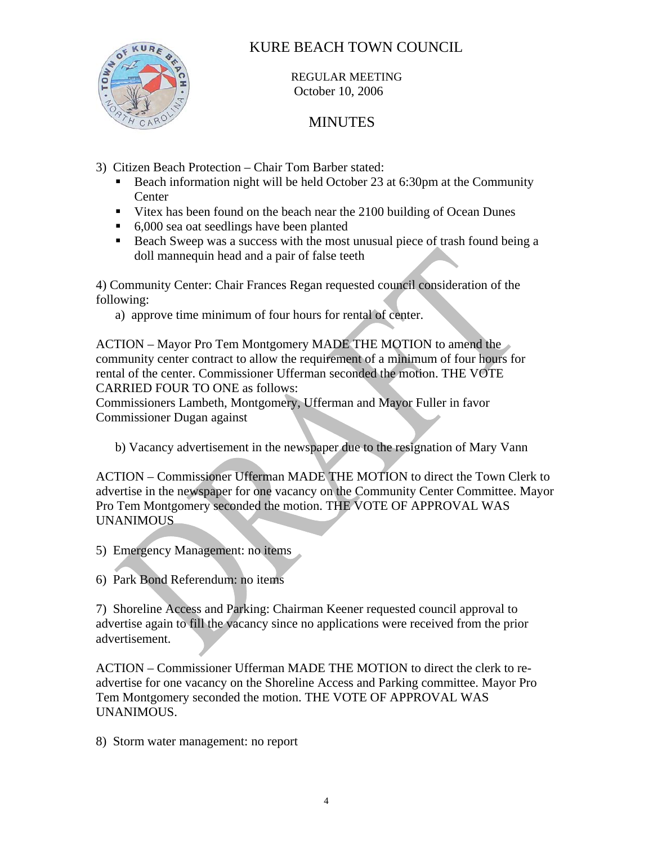

 REGULAR MEETING October 10, 2006

# MINUTES

- 3) Citizen Beach Protection Chair Tom Barber stated:
	- Beach information night will be held October 23 at 6:30pm at the Community **Center**
	- Vitex has been found on the beach near the 2100 building of Ocean Dunes
	- 6,000 sea oat seedlings have been planted
	- Beach Sweep was a success with the most unusual piece of trash found being a doll mannequin head and a pair of false teeth

4) Community Center: Chair Frances Regan requested council consideration of the following:

a) approve time minimum of four hours for rental of center.

ACTION – Mayor Pro Tem Montgomery MADE THE MOTION to amend the community center contract to allow the requirement of a minimum of four hours for rental of the center. Commissioner Ufferman seconded the motion. THE VOTE CARRIED FOUR TO ONE as follows:

Commissioners Lambeth, Montgomery, Ufferman and Mayor Fuller in favor Commissioner Dugan against

b) Vacancy advertisement in the newspaper due to the resignation of Mary Vann

ACTION – Commissioner Ufferman MADE THE MOTION to direct the Town Clerk to advertise in the newspaper for one vacancy on the Community Center Committee. Mayor Pro Tem Montgomery seconded the motion. THE VOTE OF APPROVAL WAS UNANIMOUS

- 5) Emergency Management: no items
- 6) Park Bond Referendum: no items

7) Shoreline Access and Parking: Chairman Keener requested council approval to advertise again to fill the vacancy since no applications were received from the prior advertisement.

ACTION – Commissioner Ufferman MADE THE MOTION to direct the clerk to readvertise for one vacancy on the Shoreline Access and Parking committee. Mayor Pro Tem Montgomery seconded the motion. THE VOTE OF APPROVAL WAS **UNANIMOUS.** 

8) Storm water management: no report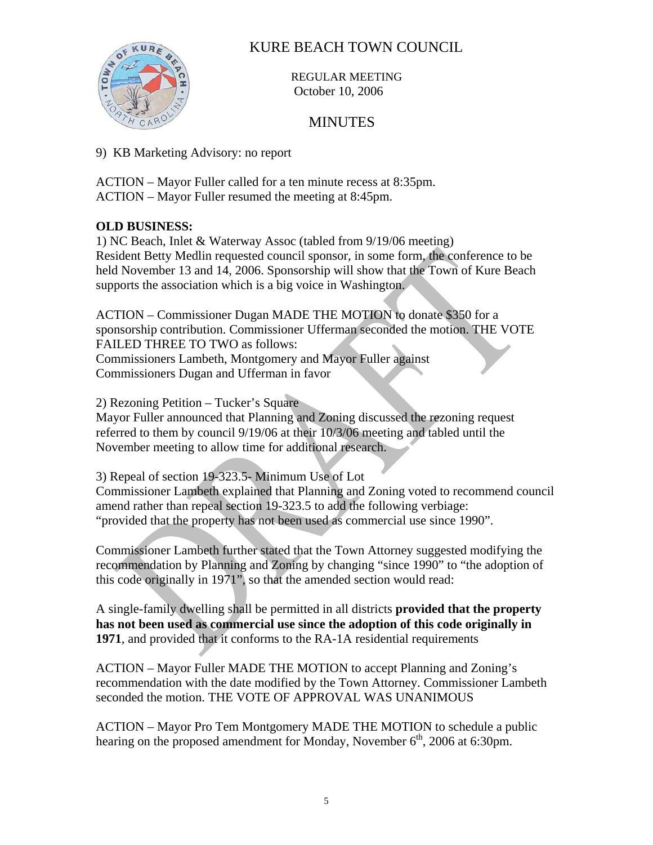

 REGULAR MEETING October 10, 2006

# MINUTES

9) KB Marketing Advisory: no report

ACTION – Mayor Fuller called for a ten minute recess at 8:35pm. ACTION – Mayor Fuller resumed the meeting at 8:45pm.

## **OLD BUSINESS:**

1) NC Beach, Inlet & Waterway Assoc (tabled from 9/19/06 meeting) Resident Betty Medlin requested council sponsor, in some form, the conference to be held November 13 and 14, 2006. Sponsorship will show that the Town of Kure Beach supports the association which is a big voice in Washington.

ACTION – Commissioner Dugan MADE THE MOTION to donate \$350 for a sponsorship contribution. Commissioner Ufferman seconded the motion. THE VOTE FAILED THREE TO TWO as follows: Commissioners Lambeth, Montgomery and Mayor Fuller against Commissioners Dugan and Ufferman in favor

2) Rezoning Petition – Tucker's Square

Mayor Fuller announced that Planning and Zoning discussed the rezoning request referred to them by council 9/19/06 at their 10/3/06 meeting and tabled until the November meeting to allow time for additional research.

3) Repeal of section 19-323.5- Minimum Use of Lot

Commissioner Lambeth explained that Planning and Zoning voted to recommend council amend rather than repeal section 19-323.5 to add the following verbiage: "provided that the property has not been used as commercial use since 1990".

Commissioner Lambeth further stated that the Town Attorney suggested modifying the recommendation by Planning and Zoning by changing "since 1990" to "the adoption of this code originally in 1971", so that the amended section would read:

A single-family dwelling shall be permitted in all districts **provided that the property has not been used as commercial use since the adoption of this code originally in 1971**, and provided that it conforms to the RA-1A residential requirements

ACTION – Mayor Fuller MADE THE MOTION to accept Planning and Zoning's recommendation with the date modified by the Town Attorney. Commissioner Lambeth seconded the motion. THE VOTE OF APPROVAL WAS UNANIMOUS

ACTION – Mayor Pro Tem Montgomery MADE THE MOTION to schedule a public hearing on the proposed amendment for Monday, November  $6<sup>th</sup>$ , 2006 at 6:30pm.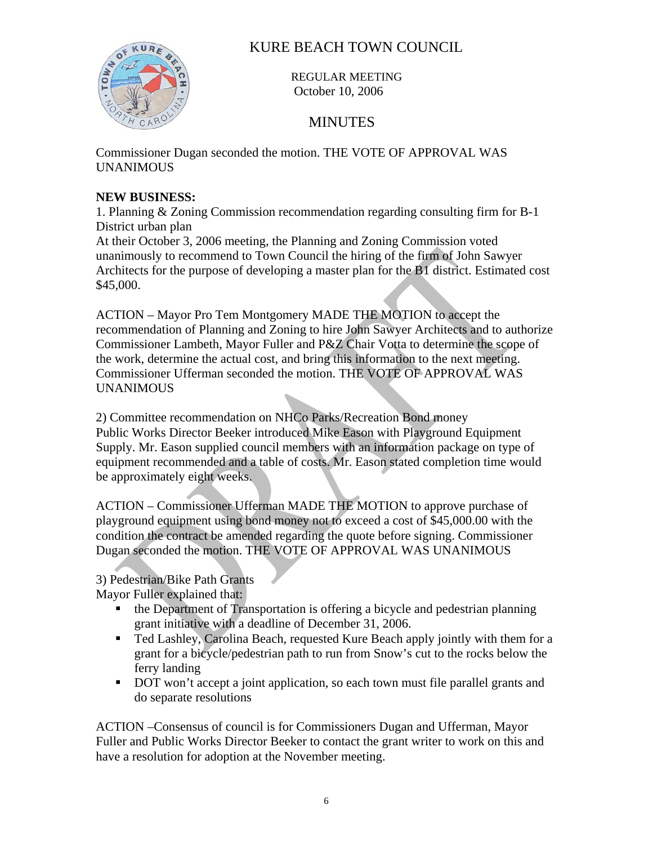

 REGULAR MEETING October 10, 2006

## MINUTES

Commissioner Dugan seconded the motion. THE VOTE OF APPROVAL WAS **UNANIMOUS** 

#### **NEW BUSINESS:**

1. Planning & Zoning Commission recommendation regarding consulting firm for B-1 District urban plan

At their October 3, 2006 meeting, the Planning and Zoning Commission voted unanimously to recommend to Town Council the hiring of the firm of John Sawyer Architects for the purpose of developing a master plan for the B1 district. Estimated cost \$45,000.

ACTION – Mayor Pro Tem Montgomery MADE THE MOTION to accept the recommendation of Planning and Zoning to hire John Sawyer Architects and to authorize Commissioner Lambeth, Mayor Fuller and P&Z Chair Votta to determine the scope of the work, determine the actual cost, and bring this information to the next meeting. Commissioner Ufferman seconded the motion. THE VOTE OF APPROVAL WAS UNANIMOUS

2) Committee recommendation on NHCo Parks/Recreation Bond money Public Works Director Beeker introduced Mike Eason with Playground Equipment Supply. Mr. Eason supplied council members with an information package on type of equipment recommended and a table of costs. Mr. Eason stated completion time would be approximately eight weeks.

ACTION – Commissioner Ufferman MADE THE MOTION to approve purchase of playground equipment using bond money not to exceed a cost of \$45,000.00 with the condition the contract be amended regarding the quote before signing. Commissioner Dugan seconded the motion. THE VOTE OF APPROVAL WAS UNANIMOUS

## 3) Pedestrian/Bike Path Grants

Mayor Fuller explained that:

- the Department of Transportation is offering a bicycle and pedestrian planning grant initiative with a deadline of December 31, 2006.
- Ted Lashley, Carolina Beach, requested Kure Beach apply jointly with them for a grant for a bicycle/pedestrian path to run from Snow's cut to the rocks below the ferry landing
- DOT won't accept a joint application, so each town must file parallel grants and do separate resolutions

ACTION –Consensus of council is for Commissioners Dugan and Ufferman, Mayor Fuller and Public Works Director Beeker to contact the grant writer to work on this and have a resolution for adoption at the November meeting.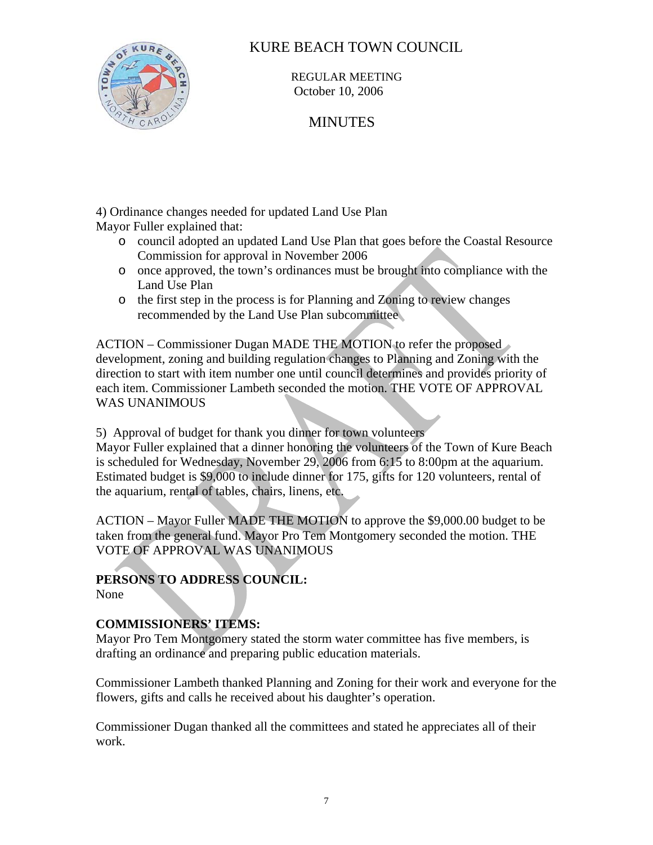

 REGULAR MEETING October 10, 2006

## MINUTES

4) Ordinance changes needed for updated Land Use Plan Mayor Fuller explained that:

- o council adopted an updated Land Use Plan that goes before the Coastal Resource Commission for approval in November 2006
- o once approved, the town's ordinances must be brought into compliance with the Land Use Plan
- o the first step in the process is for Planning and Zoning to review changes recommended by the Land Use Plan subcommittee

ACTION – Commissioner Dugan MADE THE MOTION to refer the proposed development, zoning and building regulation changes to Planning and Zoning with the direction to start with item number one until council determines and provides priority of each item. Commissioner Lambeth seconded the motion. THE VOTE OF APPROVAL WAS UNANIMOUS

5) Approval of budget for thank you dinner for town volunteers Mayor Fuller explained that a dinner honoring the volunteers of the Town of Kure Beach is scheduled for Wednesday, November 29, 2006 from 6:15 to 8:00pm at the aquarium. Estimated budget is \$9,000 to include dinner for 175, gifts for 120 volunteers, rental of the aquarium, rental of tables, chairs, linens, etc.

ACTION – Mayor Fuller MADE THE MOTION to approve the \$9,000.00 budget to be taken from the general fund. Mayor Pro Tem Montgomery seconded the motion. THE VOTE OF APPROVAL WAS UNANIMOUS

# **PERSONS TO ADDRESS COUNCIL:**

None

## **COMMISSIONERS' ITEMS:**

Mayor Pro Tem Montgomery stated the storm water committee has five members, is drafting an ordinance and preparing public education materials.

Commissioner Lambeth thanked Planning and Zoning for their work and everyone for the flowers, gifts and calls he received about his daughter's operation.

Commissioner Dugan thanked all the committees and stated he appreciates all of their work.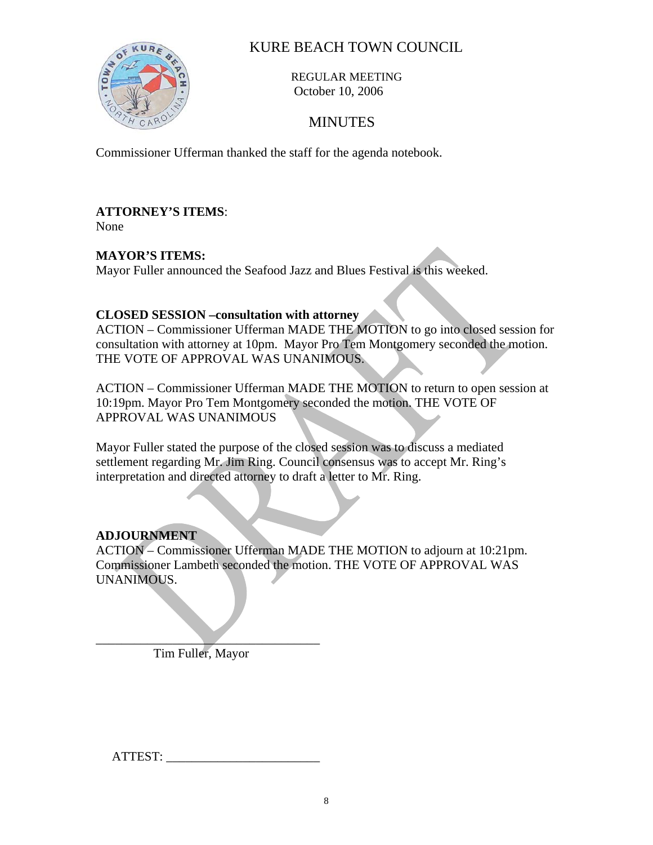

 REGULAR MEETING October 10, 2006

# MINUTES

Commissioner Ufferman thanked the staff for the agenda notebook.

## **ATTORNEY'S ITEMS**:

None

## **MAYOR'S ITEMS:**

Mayor Fuller announced the Seafood Jazz and Blues Festival is this weeked.

#### **CLOSED SESSION –consultation with attorney**

ACTION – Commissioner Ufferman MADE THE MOTION to go into closed session for consultation with attorney at 10pm. Mayor Pro Tem Montgomery seconded the motion. THE VOTE OF APPROVAL WAS UNANIMOUS.

ACTION – Commissioner Ufferman MADE THE MOTION to return to open session at 10:19pm. Mayor Pro Tem Montgomery seconded the motion. THE VOTE OF APPROVAL WAS UNANIMOUS

Mayor Fuller stated the purpose of the closed session was to discuss a mediated settlement regarding Mr. Jim Ring. Council consensus was to accept Mr. Ring's interpretation and directed attorney to draft a letter to Mr. Ring.

## **ADJOURNMENT**

ACTION – Commissioner Ufferman MADE THE MOTION to adjourn at 10:21pm. Commissioner Lambeth seconded the motion. THE VOTE OF APPROVAL WAS UNANIMOUS.

 $\overline{\phantom{a}}$  , where  $\overline{\phantom{a}}$  , where  $\overline{\phantom{a}}$  ,  $\overline{\phantom{a}}$  ,  $\overline{\phantom{a}}$  ,  $\overline{\phantom{a}}$  ,  $\overline{\phantom{a}}$  ,  $\overline{\phantom{a}}$  ,  $\overline{\phantom{a}}$  ,  $\overline{\phantom{a}}$  ,  $\overline{\phantom{a}}$  ,  $\overline{\phantom{a}}$  ,  $\overline{\phantom{a}}$  ,  $\overline{\phantom{a}}$  ,  $\overline{\phantom{a}}$  , Tim Fuller, Mayor

ATTEST: \_\_\_\_\_\_\_\_\_\_\_\_\_\_\_\_\_\_\_\_\_\_\_\_